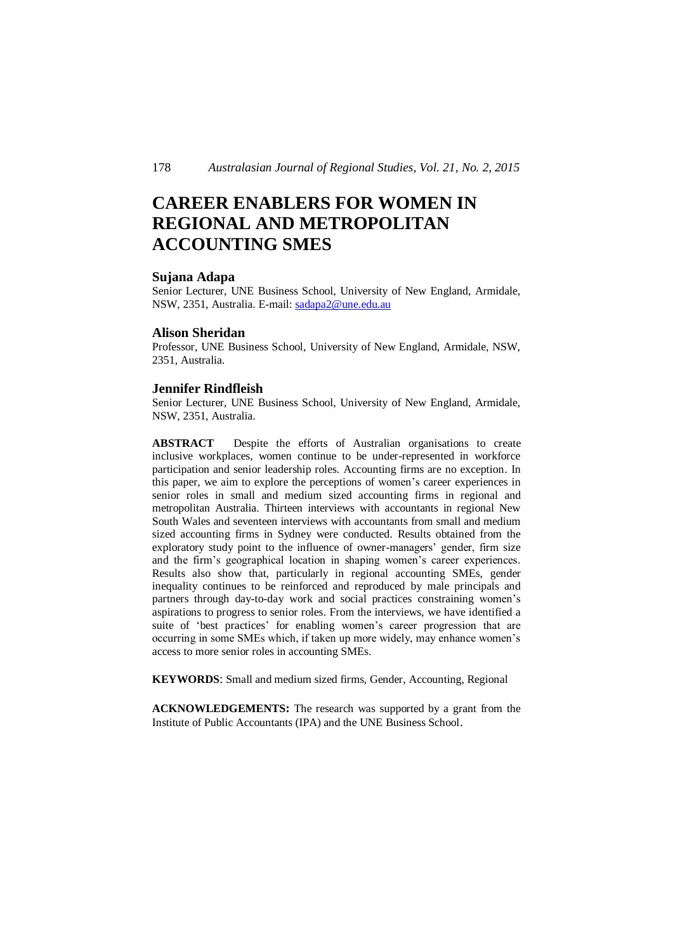# **CAREER ENABLERS FOR WOMEN IN REGIONAL AND METROPOLITAN ACCOUNTING SMES**

#### **Sujana Adapa**

Senior Lecturer, UNE Business School, University of New England, Armidale, NSW, 2351, Australia. E-mail: sadapa2@une.edu.au

#### **Alison Sheridan**

Professor, UNE Business School, University of New England, Armidale, NSW, 2351, Australia.

### **Jennifer Rindfleish**

Senior Lecturer, UNE Business School, University of New England, Armidale, NSW, 2351, Australia.

**ABSTRACT** Despite the efforts of Australian organisations to create inclusive workplaces, women continue to be under-represented in workforce participation and senior leadership roles. Accounting firms are no exception. In this paper, we aim to explore the perceptions of women's career experiences in senior roles in small and medium sized accounting firms in regional and metropolitan Australia. Thirteen interviews with accountants in regional New South Wales and seventeen interviews with accountants from small and medium sized accounting firms in Sydney were conducted. Results obtained from the exploratory study point to the influence of owner-managers' gender, firm size and the firm's geographical location in shaping women's career experiences. Results also show that, particularly in regional accounting SMEs, gender inequality continues to be reinforced and reproduced by male principals and partners through day-to-day work and social practices constraining women's aspirations to progress to senior roles. From the interviews, we have identified a suite of 'best practices' for enabling women's career progression that are occurring in some SMEs which, if taken up more widely, may enhance women's access to more senior roles in accounting SMEs.

**KEYWORDS**: Small and medium sized firms, Gender, Accounting, Regional

**ACKNOWLEDGEMENTS:** The research was supported by a grant from the Institute of Public Accountants (IPA) and the UNE Business School.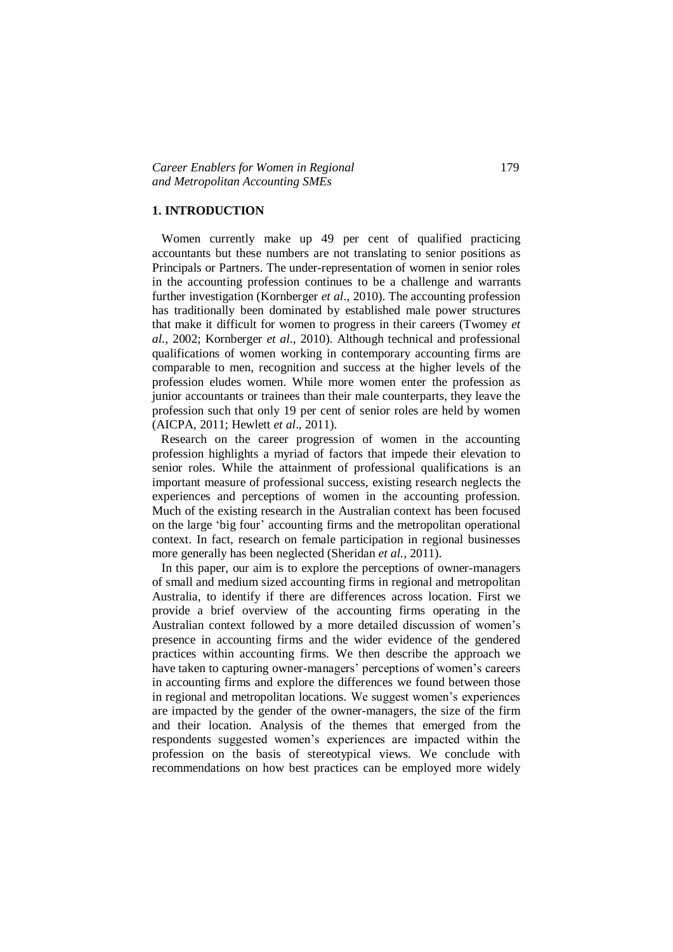### **1. INTRODUCTION**

 Women currently make up 49 per cent of qualified practicing accountants but these numbers are not translating to senior positions as Principals or Partners. The under-representation of women in senior roles in the accounting profession continues to be a challenge and warrants further investigation (Kornberger *et al*., 2010). The accounting profession has traditionally been dominated by established male power structures that make it difficult for women to progress in their careers (Twomey *et al.*, 2002; Kornberger *et al*., 2010). Although technical and professional qualifications of women working in contemporary accounting firms are comparable to men, recognition and success at the higher levels of the profession eludes women. While more women enter the profession as junior accountants or trainees than their male counterparts, they leave the profession such that only 19 per cent of senior roles are held by women (AICPA, 2011; Hewlett *et al*., 2011).

 Research on the career progression of women in the accounting profession highlights a myriad of factors that impede their elevation to senior roles. While the attainment of professional qualifications is an important measure of professional success, existing research neglects the experiences and perceptions of women in the accounting profession. Much of the existing research in the Australian context has been focused on the large 'big four' accounting firms and the metropolitan operational context. In fact, research on female participation in regional businesses more generally has been neglected (Sheridan *et al.*, 2011).

 In this paper, our aim is to explore the perceptions of owner-managers of small and medium sized accounting firms in regional and metropolitan Australia, to identify if there are differences across location. First we provide a brief overview of the accounting firms operating in the Australian context followed by a more detailed discussion of women's presence in accounting firms and the wider evidence of the gendered practices within accounting firms. We then describe the approach we have taken to capturing owner-managers' perceptions of women's careers in accounting firms and explore the differences we found between those in regional and metropolitan locations. We suggest women's experiences are impacted by the gender of the owner-managers, the size of the firm and their location. Analysis of the themes that emerged from the respondents suggested women's experiences are impacted within the profession on the basis of stereotypical views. We conclude with recommendations on how best practices can be employed more widely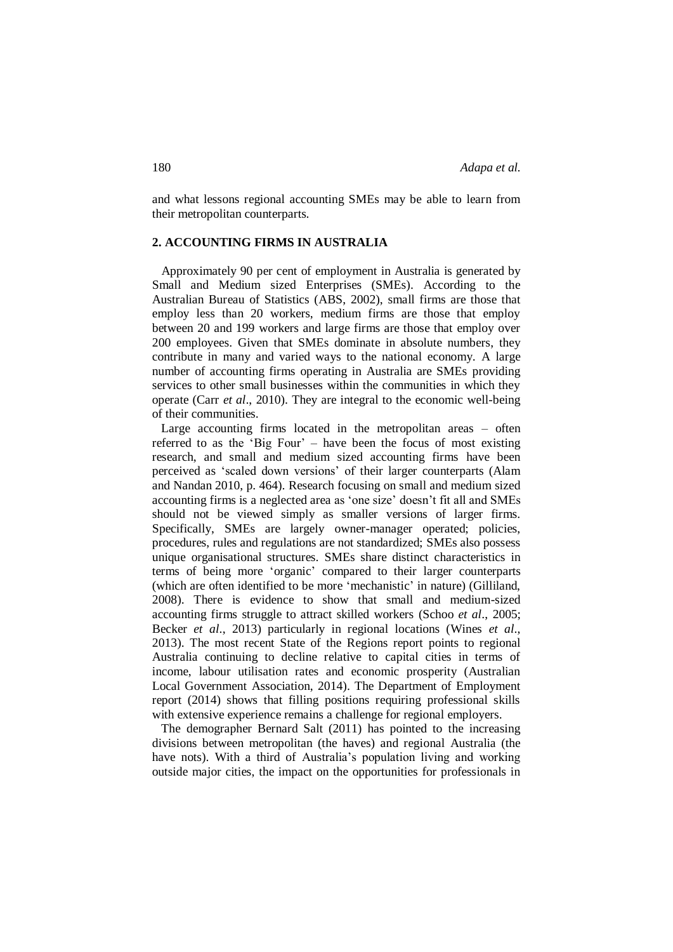and what lessons regional accounting SMEs may be able to learn from their metropolitan counterparts.

# **2. ACCOUNTING FIRMS IN AUSTRALIA**

 Approximately 90 per cent of employment in Australia is generated by Small and Medium sized Enterprises (SMEs). According to the Australian Bureau of Statistics (ABS, 2002), small firms are those that employ less than 20 workers, medium firms are those that employ between 20 and 199 workers and large firms are those that employ over 200 employees. Given that SMEs dominate in absolute numbers, they contribute in many and varied ways to the national economy. A large number of accounting firms operating in Australia are SMEs providing services to other small businesses within the communities in which they operate (Carr *et al*., 2010). They are integral to the economic well-being of their communities.

 Large accounting firms located in the metropolitan areas – often referred to as the 'Big Four' – have been the focus of most existing research, and small and medium sized accounting firms have been perceived as 'scaled down versions' of their larger counterparts (Alam and Nandan 2010, p. 464). Research focusing on small and medium sized accounting firms is a neglected area as 'one size' doesn't fit all and SMEs should not be viewed simply as smaller versions of larger firms. Specifically, SMEs are largely owner-manager operated; policies, procedures, rules and regulations are not standardized; SMEs also possess unique organisational structures. SMEs share distinct characteristics in terms of being more 'organic' compared to their larger counterparts (which are often identified to be more 'mechanistic' in nature) (Gilliland, 2008). There is evidence to show that small and medium-sized accounting firms struggle to attract skilled workers (Schoo *et al*., 2005; Becker *et al*., 2013) particularly in regional locations (Wines *et al*., 2013). The most recent State of the Regions report points to regional Australia continuing to decline relative to capital cities in terms of income, labour utilisation rates and economic prosperity (Australian Local Government Association, 2014). The Department of Employment report (2014) shows that filling positions requiring professional skills with extensive experience remains a challenge for regional employers.

 The demographer Bernard Salt (2011) has pointed to the increasing divisions between metropolitan (the haves) and regional Australia (the have nots). With a third of Australia's population living and working outside major cities, the impact on the opportunities for professionals in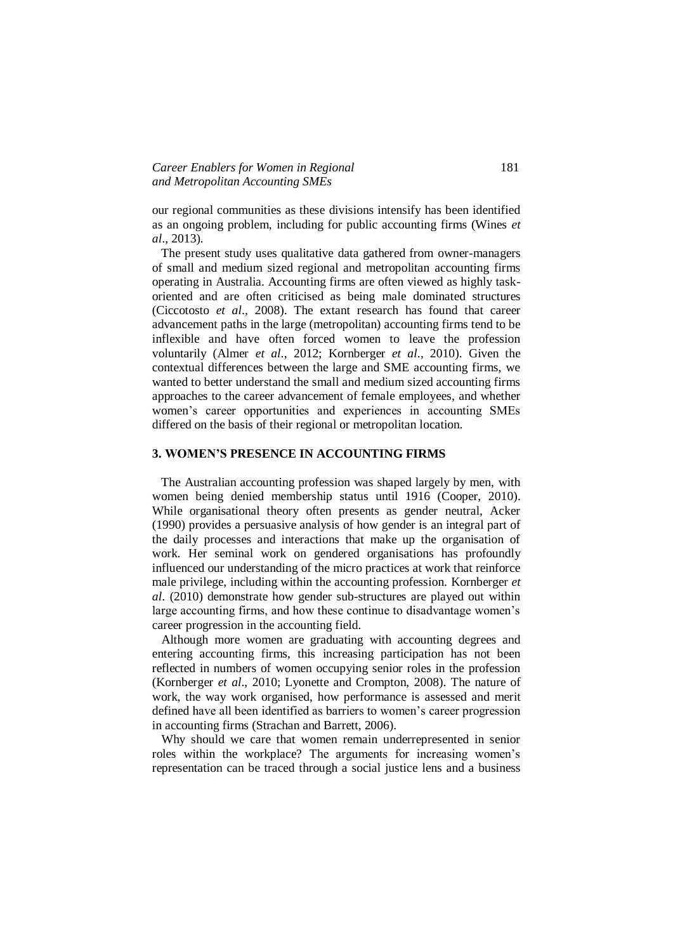## *Career Enablers for Women in Regional* 181 *and Metropolitan Accounting SMEs*

our regional communities as these divisions intensify has been identified as an ongoing problem, including for public accounting firms (Wines *et al*., 2013).

 The present study uses qualitative data gathered from owner-managers of small and medium sized regional and metropolitan accounting firms operating in Australia. Accounting firms are often viewed as highly taskoriented and are often criticised as being male dominated structures (Ciccotosto *et al*., 2008). The extant research has found that career advancement paths in the large (metropolitan) accounting firms tend to be inflexible and have often forced women to leave the profession voluntarily (Almer *et al*., 2012; Kornberger *et al*., 2010). Given the contextual differences between the large and SME accounting firms, we wanted to better understand the small and medium sized accounting firms approaches to the career advancement of female employees, and whether women's career opportunities and experiences in accounting SMEs differed on the basis of their regional or metropolitan location.

# **3. WOMEN'S PRESENCE IN ACCOUNTING FIRMS**

 The Australian accounting profession was shaped largely by men, with women being denied membership status until 1916 (Cooper, 2010). While organisational theory often presents as gender neutral, Acker (1990) provides a persuasive analysis of how gender is an integral part of the daily processes and interactions that make up the organisation of work. Her seminal work on gendered organisations has profoundly influenced our understanding of the micro practices at work that reinforce male privilege, including within the accounting profession. Kornberger *et al*. (2010) demonstrate how gender sub-structures are played out within large accounting firms, and how these continue to disadvantage women's career progression in the accounting field.

 Although more women are graduating with accounting degrees and entering accounting firms, this increasing participation has not been reflected in numbers of women occupying senior roles in the profession (Kornberger *et al*., 2010; Lyonette and Crompton, 2008). The nature of work, the way work organised, how performance is assessed and merit defined have all been identified as barriers to women's career progression in accounting firms (Strachan and Barrett, 2006).

 Why should we care that women remain underrepresented in senior roles within the workplace? The arguments for increasing women's representation can be traced through a social justice lens and a business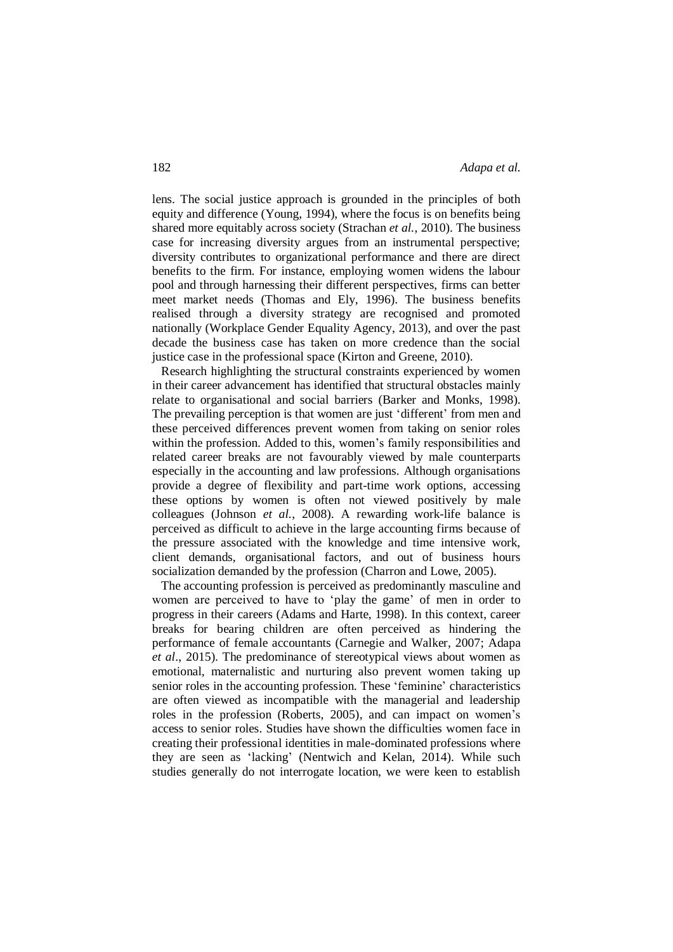lens. The social justice approach is grounded in the principles of both equity and difference (Young, 1994), where the focus is on benefits being shared more equitably across society (Strachan *et al.*, 2010). The business case for increasing diversity argues from an instrumental perspective; diversity contributes to organizational performance and there are direct benefits to the firm. For instance, employing women widens the labour pool and through harnessing their different perspectives, firms can better meet market needs (Thomas and Ely, 1996). The business benefits realised through a diversity strategy are recognised and promoted nationally (Workplace Gender Equality Agency, 2013), and over the past decade the business case has taken on more credence than the social justice case in the professional space (Kirton and Greene, 2010).

 Research highlighting the structural constraints experienced by women in their career advancement has identified that structural obstacles mainly relate to organisational and social barriers (Barker and Monks, 1998). The prevailing perception is that women are just 'different' from men and these perceived differences prevent women from taking on senior roles within the profession. Added to this, women's family responsibilities and related career breaks are not favourably viewed by male counterparts especially in the accounting and law professions. Although organisations provide a degree of flexibility and part-time work options, accessing these options by women is often not viewed positively by male colleagues (Johnson *et al.*, 2008). A rewarding work-life balance is perceived as difficult to achieve in the large accounting firms because of the pressure associated with the knowledge and time intensive work, client demands, organisational factors, and out of business hours socialization demanded by the profession (Charron and Lowe, 2005).

 The accounting profession is perceived as predominantly masculine and women are perceived to have to 'play the game' of men in order to progress in their careers (Adams and Harte, 1998). In this context, career breaks for bearing children are often perceived as hindering the performance of female accountants (Carnegie and Walker, 2007; Adapa *et al*., 2015). The predominance of stereotypical views about women as emotional, maternalistic and nurturing also prevent women taking up senior roles in the accounting profession. These 'feminine' characteristics are often viewed as incompatible with the managerial and leadership roles in the profession (Roberts, 2005), and can impact on women's access to senior roles. Studies have shown the difficulties women face in creating their professional identities in male-dominated professions where they are seen as 'lacking' (Nentwich and Kelan, 2014). While such studies generally do not interrogate location, we were keen to establish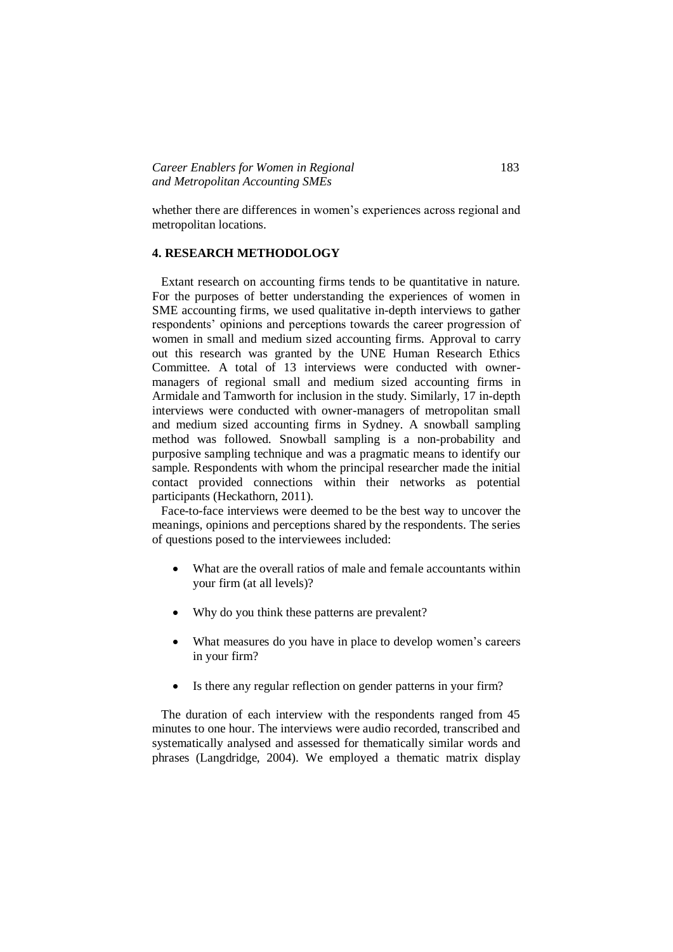whether there are differences in women's experiences across regional and metropolitan locations.

# **4. RESEARCH METHODOLOGY**

 Extant research on accounting firms tends to be quantitative in nature. For the purposes of better understanding the experiences of women in SME accounting firms, we used qualitative in-depth interviews to gather respondents' opinions and perceptions towards the career progression of women in small and medium sized accounting firms. Approval to carry out this research was granted by the UNE Human Research Ethics Committee. A total of 13 interviews were conducted with ownermanagers of regional small and medium sized accounting firms in Armidale and Tamworth for inclusion in the study. Similarly, 17 in-depth interviews were conducted with owner-managers of metropolitan small and medium sized accounting firms in Sydney. A snowball sampling method was followed. Snowball sampling is a non-probability and purposive sampling technique and was a pragmatic means to identify our sample. Respondents with whom the principal researcher made the initial contact provided connections within their networks as potential participants (Heckathorn, 2011).

 Face-to-face interviews were deemed to be the best way to uncover the meanings, opinions and perceptions shared by the respondents. The series of questions posed to the interviewees included:

- What are the overall ratios of male and female accountants within your firm (at all levels)?
- Why do you think these patterns are prevalent?
- What measures do you have in place to develop women's careers in your firm?
- Is there any regular reflection on gender patterns in your firm?

 The duration of each interview with the respondents ranged from 45 minutes to one hour. The interviews were audio recorded, transcribed and systematically analysed and assessed for thematically similar words and phrases (Langdridge, 2004). We employed a thematic matrix display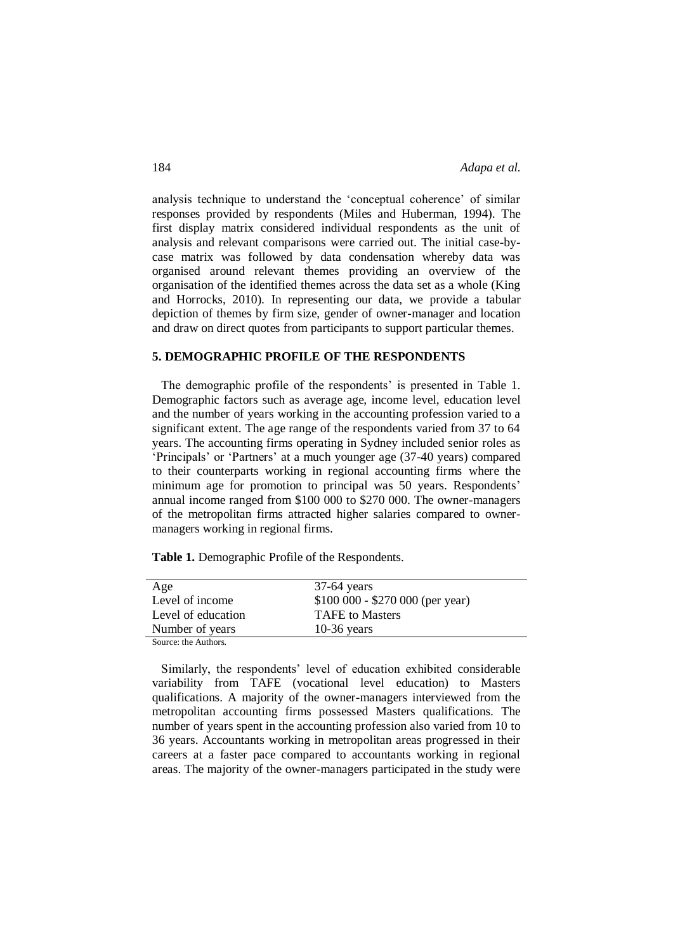analysis technique to understand the 'conceptual coherence' of similar responses provided by respondents (Miles and Huberman, 1994). The first display matrix considered individual respondents as the unit of analysis and relevant comparisons were carried out. The initial case-bycase matrix was followed by data condensation whereby data was organised around relevant themes providing an overview of the organisation of the identified themes across the data set as a whole (King and Horrocks, 2010). In representing our data, we provide a tabular depiction of themes by firm size, gender of owner-manager and location and draw on direct quotes from participants to support particular themes.

# **5. DEMOGRAPHIC PROFILE OF THE RESPONDENTS**

 The demographic profile of the respondents' is presented in Table 1. Demographic factors such as average age, income level, education level and the number of years working in the accounting profession varied to a significant extent. The age range of the respondents varied from 37 to 64 years. The accounting firms operating in Sydney included senior roles as 'Principals' or 'Partners' at a much younger age (37-40 years) compared to their counterparts working in regional accounting firms where the minimum age for promotion to principal was 50 years. Respondents' annual income ranged from \$100 000 to \$270 000. The owner-managers of the metropolitan firms attracted higher salaries compared to ownermanagers working in regional firms.

**Table 1.** Demographic Profile of the Respondents.

| Age                | $37-64$ years                    |
|--------------------|----------------------------------|
| Level of income    | $$100 000 - $270 000$ (per year) |
| Level of education | <b>TAFE</b> to Masters           |
| Number of years    | $10-36$ years                    |
| Course the Authors |                                  |

Source: the Authors.

 Similarly, the respondents' level of education exhibited considerable variability from TAFE (vocational level education) to Masters qualifications. A majority of the owner-managers interviewed from the metropolitan accounting firms possessed Masters qualifications. The number of years spent in the accounting profession also varied from 10 to 36 years. Accountants working in metropolitan areas progressed in their careers at a faster pace compared to accountants working in regional areas. The majority of the owner-managers participated in the study were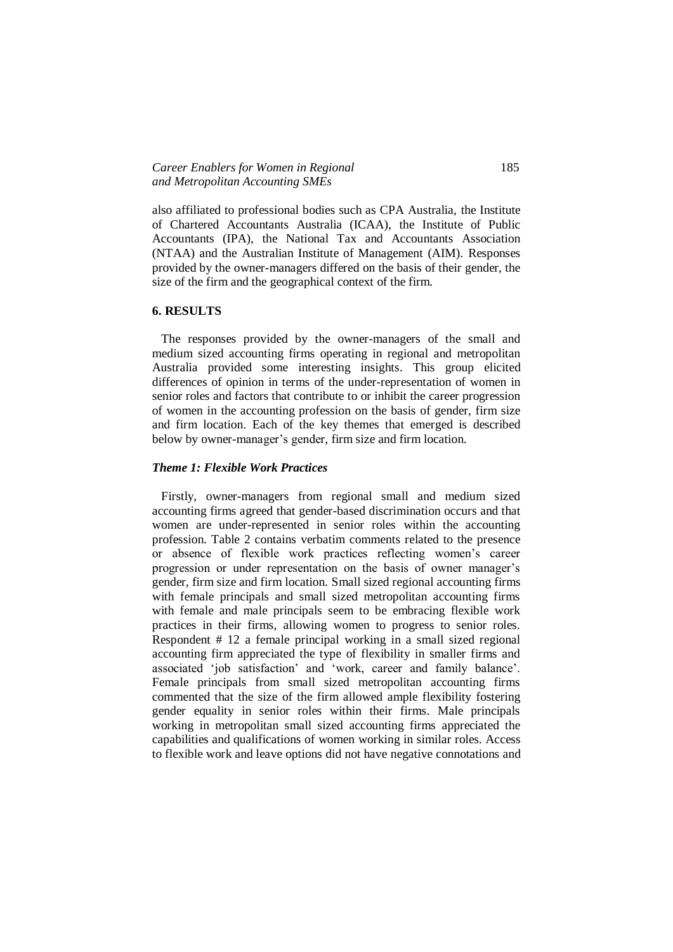also affiliated to professional bodies such as CPA Australia, the Institute of Chartered Accountants Australia (ICAA), the Institute of Public Accountants (IPA), the National Tax and Accountants Association (NTAA) and the Australian Institute of Management (AIM). Responses provided by the owner-managers differed on the basis of their gender, the size of the firm and the geographical context of the firm.

### **6. RESULTS**

 The responses provided by the owner-managers of the small and medium sized accounting firms operating in regional and metropolitan Australia provided some interesting insights. This group elicited differences of opinion in terms of the under-representation of women in senior roles and factors that contribute to or inhibit the career progression of women in the accounting profession on the basis of gender, firm size and firm location. Each of the key themes that emerged is described below by owner-manager's gender, firm size and firm location.

# *Theme 1: Flexible Work Practices*

 Firstly, owner-managers from regional small and medium sized accounting firms agreed that gender-based discrimination occurs and that women are under-represented in senior roles within the accounting profession. Table 2 contains verbatim comments related to the presence or absence of flexible work practices reflecting women's career progression or under representation on the basis of owner manager's gender, firm size and firm location. Small sized regional accounting firms with female principals and small sized metropolitan accounting firms with female and male principals seem to be embracing flexible work practices in their firms, allowing women to progress to senior roles. Respondent # 12 a female principal working in a small sized regional accounting firm appreciated the type of flexibility in smaller firms and associated 'job satisfaction' and 'work, career and family balance'. Female principals from small sized metropolitan accounting firms commented that the size of the firm allowed ample flexibility fostering gender equality in senior roles within their firms. Male principals working in metropolitan small sized accounting firms appreciated the capabilities and qualifications of women working in similar roles. Access to flexible work and leave options did not have negative connotations and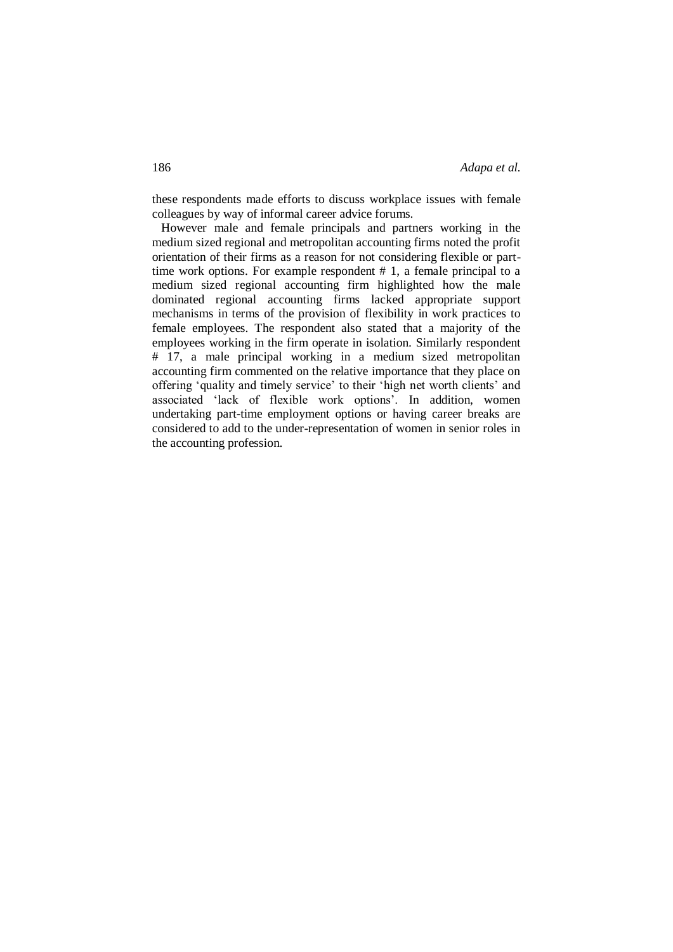these respondents made efforts to discuss workplace issues with female colleagues by way of informal career advice forums.

 However male and female principals and partners working in the medium sized regional and metropolitan accounting firms noted the profit orientation of their firms as a reason for not considering flexible or parttime work options. For example respondent # 1, a female principal to a medium sized regional accounting firm highlighted how the male dominated regional accounting firms lacked appropriate support mechanisms in terms of the provision of flexibility in work practices to female employees. The respondent also stated that a majority of the employees working in the firm operate in isolation. Similarly respondent # 17, a male principal working in a medium sized metropolitan accounting firm commented on the relative importance that they place on offering 'quality and timely service' to their 'high net worth clients' and associated 'lack of flexible work options'. In addition, women undertaking part-time employment options or having career breaks are considered to add to the under-representation of women in senior roles in the accounting profession.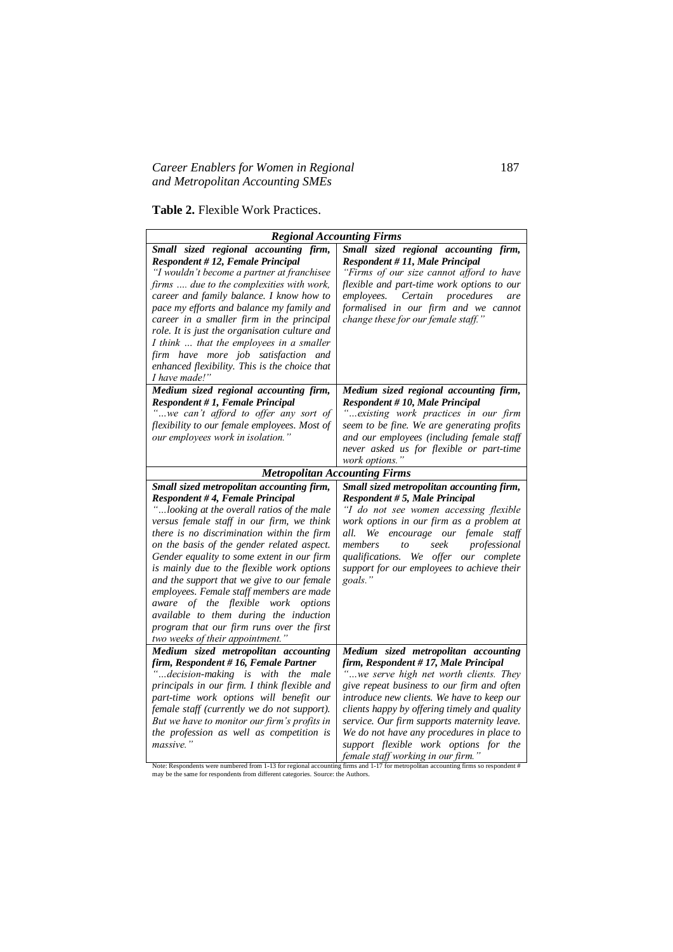# *Career Enablers for Women in Regional* 187 *and Metropolitan Accounting SMEs*

# **Table 2.** Flexible Work Practices.

| <b>Regional Accounting Firms</b>                                                                                                                                                                                                                                                                                                                                                                                                                                                                                                                                                                                           |                                                                                                                                                                                                                                                                                                                                                                                                                                                                                                                                                                                            |  |
|----------------------------------------------------------------------------------------------------------------------------------------------------------------------------------------------------------------------------------------------------------------------------------------------------------------------------------------------------------------------------------------------------------------------------------------------------------------------------------------------------------------------------------------------------------------------------------------------------------------------------|--------------------------------------------------------------------------------------------------------------------------------------------------------------------------------------------------------------------------------------------------------------------------------------------------------------------------------------------------------------------------------------------------------------------------------------------------------------------------------------------------------------------------------------------------------------------------------------------|--|
| Small sized regional accounting firm,<br>Respondent #12, Female Principal<br>"I wouldn't become a partner at franchisee<br>firms  due to the complexities with work,<br>career and family balance. I know how to<br>pace my efforts and balance my family and<br>career in a smaller firm in the principal<br>role. It is just the organisation culture and<br>I think  that the employees in a smaller<br>firm have more job satisfaction and<br>enhanced flexibility. This is the choice that<br>I have made!"                                                                                                           | Small sized regional accounting firm,<br>Respondent # 11, Male Principal<br>"Firms of our size cannot afford to have<br>flexible and part-time work options to our<br>Certain<br>procedures<br>employees.<br>are<br>formalised in our firm and we cannot<br>change these for our female staff."                                                                                                                                                                                                                                                                                            |  |
| Medium sized regional accounting firm,<br>Respondent # 1, Female Principal<br>"we can't afford to offer any sort of<br>flexibility to our female employees. Most of<br>our employees work in isolation."                                                                                                                                                                                                                                                                                                                                                                                                                   | Medium sized regional accounting firm,<br>Respondent # 10, Male Principal<br>" existing work practices in our firm<br>seem to be fine. We are generating profits<br>and our employees (including female staff<br>never asked us for flexible or part-time<br>work options."                                                                                                                                                                                                                                                                                                                |  |
| <b>Metropolitan Accounting Firms</b>                                                                                                                                                                                                                                                                                                                                                                                                                                                                                                                                                                                       |                                                                                                                                                                                                                                                                                                                                                                                                                                                                                                                                                                                            |  |
| Small sized metropolitan accounting firm,<br>Respondent #4, Female Principal<br>"looking at the overall ratios of the male<br>versus female staff in our firm, we think<br>there is no discrimination within the firm<br>on the basis of the gender related aspect.<br>Gender equality to some extent in our firm<br>is mainly due to the flexible work options<br>and the support that we give to our female<br>employees. Female staff members are made<br>aware of the flexible work options<br>available to them during the induction<br>program that our firm runs over the first<br>two weeks of their appointment." | Small sized metropolitan accounting firm,<br>Respondent # 5, Male Principal<br>"I do not see women accessing flexible<br>work options in our firm as a problem at<br>all.<br>We encourage our female staff<br>members<br>seek<br>professional<br>to<br>qualifications. We offer our complete<br>support for our employees to achieve their<br>goals."                                                                                                                                                                                                                                      |  |
| Medium sized metropolitan accounting<br>firm, Respondent #16, Female Partner<br>"decision-making is with<br>the male<br>principals in our firm. I think flexible and<br>part-time work options will benefit our<br>female staff (currently we do not support).<br>But we have to monitor our firm's profits in<br>the profession as well as competition is<br>massive."                                                                                                                                                                                                                                                    | Medium sized metropolitan accounting<br>firm, Respondent #17, Male Principal<br>"we serve high net worth clients. They<br>give repeat business to our firm and often<br>introduce new clients. We have to keep our<br>clients happy by offering timely and quality<br>service. Our firm supports maternity leave.<br>We do not have any procedures in place to<br>support flexible work options for the<br>$\mathcal{L}_{\text{max}}$ , $l = \mathcal{L}_{\text{max}}$ , $\mathcal{L}_{\text{max}}$ , $\mathcal{L}_{\text{max}}$ , $\mathcal{L}_{\text{max}}$ , $\mathcal{L}_{\text{max}}$ |  |

**Senale staff working in our firm.**"<br>Note: Respondents were numbered from 1-13 for regional accounting firms and 1-17 for metropolitan accounting firms so respondent #<br>may be the same for respondents from different categor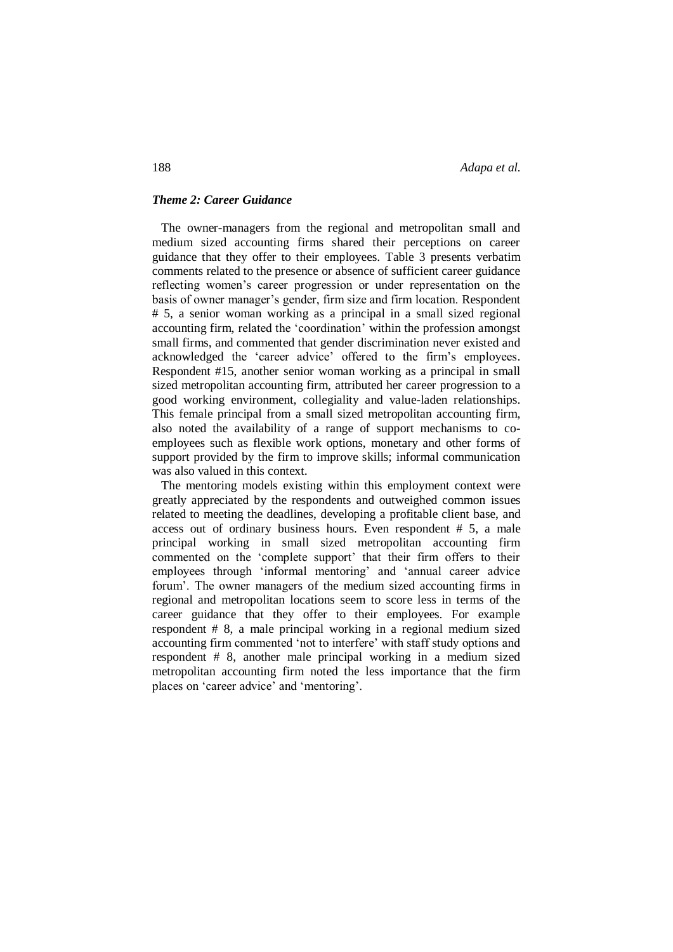#### *Theme 2: Career Guidance*

 The owner-managers from the regional and metropolitan small and medium sized accounting firms shared their perceptions on career guidance that they offer to their employees. Table 3 presents verbatim comments related to the presence or absence of sufficient career guidance reflecting women's career progression or under representation on the basis of owner manager's gender, firm size and firm location. Respondent # 5, a senior woman working as a principal in a small sized regional accounting firm, related the 'coordination' within the profession amongst small firms, and commented that gender discrimination never existed and acknowledged the 'career advice' offered to the firm's employees. Respondent #15, another senior woman working as a principal in small sized metropolitan accounting firm, attributed her career progression to a good working environment, collegiality and value-laden relationships. This female principal from a small sized metropolitan accounting firm, also noted the availability of a range of support mechanisms to coemployees such as flexible work options, monetary and other forms of support provided by the firm to improve skills; informal communication was also valued in this context.

 The mentoring models existing within this employment context were greatly appreciated by the respondents and outweighed common issues related to meeting the deadlines, developing a profitable client base, and access out of ordinary business hours. Even respondent # 5, a male principal working in small sized metropolitan accounting firm commented on the 'complete support' that their firm offers to their employees through 'informal mentoring' and 'annual career advice forum'. The owner managers of the medium sized accounting firms in regional and metropolitan locations seem to score less in terms of the career guidance that they offer to their employees. For example respondent # 8, a male principal working in a regional medium sized accounting firm commented 'not to interfere' with staff study options and respondent # 8, another male principal working in a medium sized metropolitan accounting firm noted the less importance that the firm places on 'career advice' and 'mentoring'.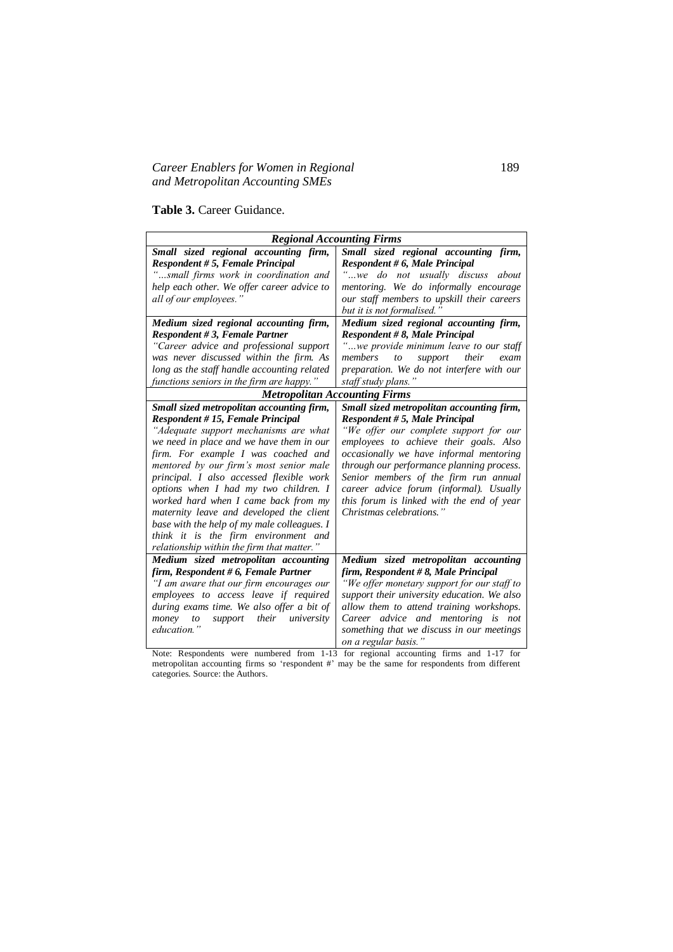# *Career Enablers for Women in Regional* 189 *and Metropolitan Accounting SMEs*

**Table 3.** Career Guidance.

| <b>Regional Accounting Firms</b>            |                                                |  |  |  |
|---------------------------------------------|------------------------------------------------|--|--|--|
| Small sized regional accounting firm,       | Small sized regional accounting firm,          |  |  |  |
| Respondent # 5, Female Principal            | Respondent # 6, Male Principal                 |  |  |  |
| "small firms work in coordination and       | "we do not usually discuss about               |  |  |  |
| help each other. We offer career advice to  | mentoring. We do informally encourage          |  |  |  |
| all of our employees."                      | our staff members to upskill their careers     |  |  |  |
|                                             | but it is not formalised.'                     |  |  |  |
| Medium sized regional accounting firm,      | Medium sized regional accounting firm,         |  |  |  |
| <b>Respondent #3, Female Partner</b>        | Respondent #8, Male Principal                  |  |  |  |
| "Career advice and professional support     | "we provide minimum leave to our staff         |  |  |  |
| was never discussed within the firm. As     | support<br>their<br>members<br>$\iota$<br>exam |  |  |  |
| long as the staff handle accounting related | preparation. We do not interfere with our      |  |  |  |
| functions seniors in the firm are happy."   | staff study plans."                            |  |  |  |
| <b>Metropolitan Accounting Firms</b>        |                                                |  |  |  |
| Small sized metropolitan accounting firm,   | Small sized metropolitan accounting firm,      |  |  |  |
| Respondent # 15, Female Principal           | Respondent #5, Male Principal                  |  |  |  |
| "Adequate support mechanisms are what       | "We offer our complete support for our         |  |  |  |
| we need in place and we have them in our    | employees to achieve their goals. Also         |  |  |  |
| firm. For example I was coached and         | occasionally we have informal mentoring        |  |  |  |
| mentored by our firm's most senior male     | through our performance planning process.      |  |  |  |
| principal. I also accessed flexible work    | Senior members of the firm run annual          |  |  |  |
| options when I had my two children. I       | career advice forum (informal). Usually        |  |  |  |
| worked hard when I came back from my        | this forum is linked with the end of year      |  |  |  |
| maternity leave and developed the client    | Christmas celebrations."                       |  |  |  |
| base with the help of my male colleagues. I |                                                |  |  |  |
| think it is the firm environment and        |                                                |  |  |  |
| relationship within the firm that matter."  |                                                |  |  |  |
| Medium sized metropolitan accounting        | Medium sized metropolitan accounting           |  |  |  |
| firm, Respondent # 6, Female Partner        | firm, Respondent #8, Male Principal            |  |  |  |
| "I am aware that our firm encourages our    | "We offer monetary support for our staff to    |  |  |  |
| employees to access leave if required       | support their university education. We also    |  |  |  |
| during exams time. We also offer a bit of   | allow them to attend training workshops.       |  |  |  |
| support their<br>university<br>money<br>to  | Career advice and mentoring is not             |  |  |  |
| education."                                 | something that we discuss in our meetings      |  |  |  |
|                                             | on a regular basis."                           |  |  |  |

Note: Respondents were numbered from 1-13 for regional accounting firms and 1-17 for metropolitan accounting firms so 'respondent #' may be the same for respondents from different categories. Source: the Authors.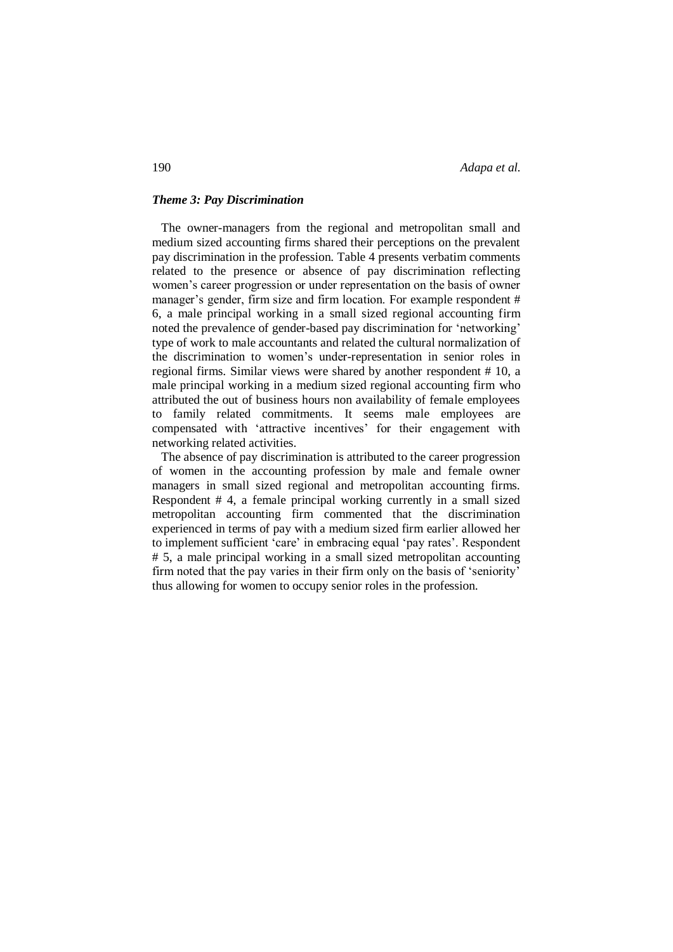190 *Adapa et al.*

#### *Theme 3: Pay Discrimination*

 The owner-managers from the regional and metropolitan small and medium sized accounting firms shared their perceptions on the prevalent pay discrimination in the profession. Table 4 presents verbatim comments related to the presence or absence of pay discrimination reflecting women's career progression or under representation on the basis of owner manager's gender, firm size and firm location. For example respondent # 6, a male principal working in a small sized regional accounting firm noted the prevalence of gender-based pay discrimination for 'networking' type of work to male accountants and related the cultural normalization of the discrimination to women's under-representation in senior roles in regional firms. Similar views were shared by another respondent # 10, a male principal working in a medium sized regional accounting firm who attributed the out of business hours non availability of female employees to family related commitments. It seems male employees are compensated with 'attractive incentives' for their engagement with networking related activities.

 The absence of pay discrimination is attributed to the career progression of women in the accounting profession by male and female owner managers in small sized regional and metropolitan accounting firms. Respondent # 4, a female principal working currently in a small sized metropolitan accounting firm commented that the discrimination experienced in terms of pay with a medium sized firm earlier allowed her to implement sufficient 'care' in embracing equal 'pay rates'. Respondent # 5, a male principal working in a small sized metropolitan accounting firm noted that the pay varies in their firm only on the basis of 'seniority' thus allowing for women to occupy senior roles in the profession.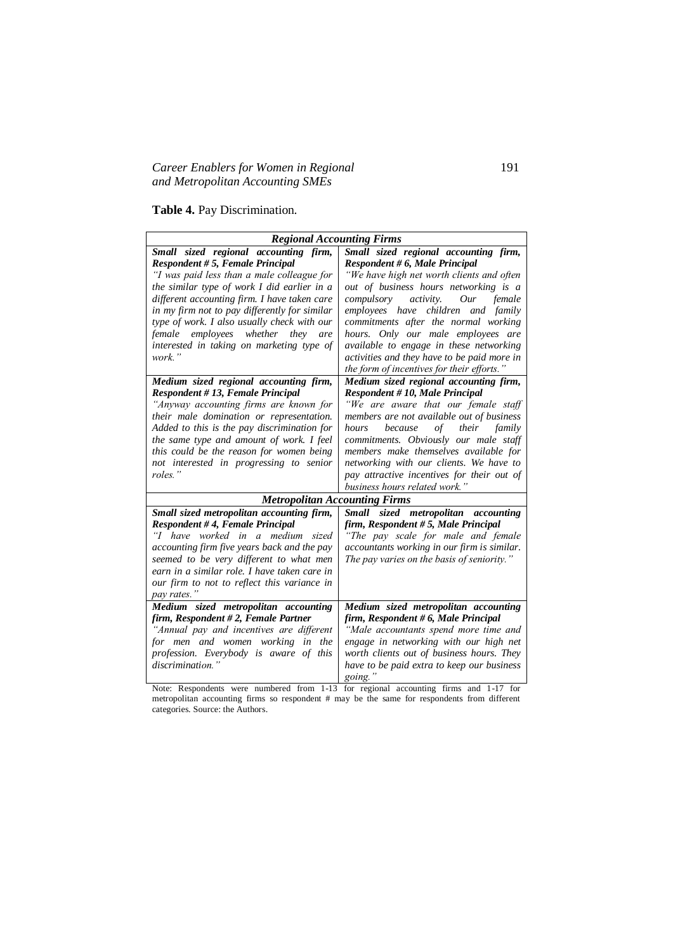# *Career Enablers for Women in Regional* 191 *and Metropolitan Accounting SMEs*

**Table 4.** Pay Discrimination.

| <b>Regional Accounting Firms</b>                                                                                                                                                                                                                                                                                                                                                                                         |                                                                                                                                                                                                                                                                                                                                                                                                                   |  |  |  |  |
|--------------------------------------------------------------------------------------------------------------------------------------------------------------------------------------------------------------------------------------------------------------------------------------------------------------------------------------------------------------------------------------------------------------------------|-------------------------------------------------------------------------------------------------------------------------------------------------------------------------------------------------------------------------------------------------------------------------------------------------------------------------------------------------------------------------------------------------------------------|--|--|--|--|
|                                                                                                                                                                                                                                                                                                                                                                                                                          |                                                                                                                                                                                                                                                                                                                                                                                                                   |  |  |  |  |
| Small sized regional accounting firm,<br>Respondent # 5, Female Principal<br>"I was paid less than a male colleague for<br>the similar type of work I did earlier in a<br>different accounting firm. I have taken care<br>in my firm not to pay differently for similar<br>type of work. I also usually check with our<br>female employees whether<br>they<br>are<br>interested in taking on marketing type of<br>work." | Small sized regional accounting firm,<br>Respondent # 6, Male Principal<br>"We have high net worth clients and often<br>out of business hours networking is a<br>compulsory activity. Our<br>female<br>employees have children and family<br>commitments after the normal working<br>hours. Only our male employees are<br>available to engage in these networking<br>activities and they have to be paid more in |  |  |  |  |
|                                                                                                                                                                                                                                                                                                                                                                                                                          | the form of incentives for their efforts."                                                                                                                                                                                                                                                                                                                                                                        |  |  |  |  |
| Medium sized regional accounting firm,<br>Respondent #13, Female Principal<br>"Anyway accounting firms are known for<br>their male domination or representation.<br>Added to this is the pay discrimination for<br>the same type and amount of work. I feel<br>this could be the reason for women being<br>not interested in progressing to senior<br>roles."                                                            | Medium sized regional accounting firm,<br>Respondent #10, Male Principal<br>"We are aware that our female staff<br>members are not available out of business<br>because<br>their family<br>hours<br>of<br>commitments. Obviously our male staff<br>members make themselves available for<br>networking with our clients. We have to<br>pay attractive incentives for their out of                                 |  |  |  |  |
|                                                                                                                                                                                                                                                                                                                                                                                                                          | business hours related work."                                                                                                                                                                                                                                                                                                                                                                                     |  |  |  |  |
| <b>Metropolitan Accounting Firms</b>                                                                                                                                                                                                                                                                                                                                                                                     |                                                                                                                                                                                                                                                                                                                                                                                                                   |  |  |  |  |
| Small sized metropolitan accounting firm,<br>Respondent #4, Female Principal<br>"I have worked in a medium sized<br>accounting firm five years back and the pay<br>seemed to be very different to what men<br>earn in a similar role. I have taken care in<br>our firm to not to reflect this variance in<br>pay rates."                                                                                                 | Small sized metropolitan accounting<br>firm, Respondent #5, Male Principal<br>"The pay scale for male and female<br>accountants working in our firm is similar.<br>The pay varies on the basis of seniority."                                                                                                                                                                                                     |  |  |  |  |
| Medium sized metropolitan accounting<br>firm, Respondent # 2, Female Partner<br>"Annual pay and incentives are different<br>for men and women working in<br>the<br>profession. Everybody is aware of this<br>discrimination.                                                                                                                                                                                             | Medium sized metropolitan accounting<br>firm, Respondent # 6, Male Principal<br>"Male accountants spend more time and<br>engage in networking with our high net<br>worth clients out of business hours. They<br>have to be paid extra to keep our business<br>going."                                                                                                                                             |  |  |  |  |

Note: Respondents were numbered from 1-13 for regional accounting firms and 1-17 for metropolitan accounting firms so respondent # may be the same for respondents from different categories. Source: the Authors.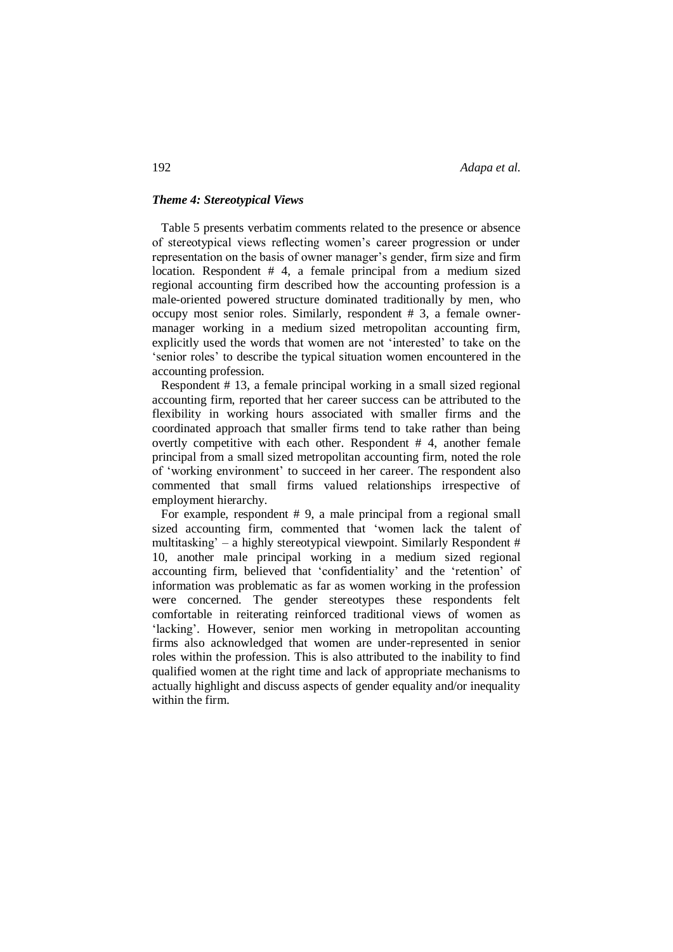192 *Adapa et al.*

#### *Theme 4: Stereotypical Views*

 Table 5 presents verbatim comments related to the presence or absence of stereotypical views reflecting women's career progression or under representation on the basis of owner manager's gender, firm size and firm location. Respondent # 4, a female principal from a medium sized regional accounting firm described how the accounting profession is a male-oriented powered structure dominated traditionally by men, who occupy most senior roles. Similarly, respondent # 3, a female ownermanager working in a medium sized metropolitan accounting firm, explicitly used the words that women are not 'interested' to take on the 'senior roles' to describe the typical situation women encountered in the accounting profession.

 Respondent # 13, a female principal working in a small sized regional accounting firm, reported that her career success can be attributed to the flexibility in working hours associated with smaller firms and the coordinated approach that smaller firms tend to take rather than being overtly competitive with each other. Respondent # 4, another female principal from a small sized metropolitan accounting firm, noted the role of 'working environment' to succeed in her career. The respondent also commented that small firms valued relationships irrespective of employment hierarchy.

 For example, respondent # 9, a male principal from a regional small sized accounting firm, commented that 'women lack the talent of multitasking' – a highly stereotypical viewpoint. Similarly Respondent # 10, another male principal working in a medium sized regional accounting firm, believed that 'confidentiality' and the 'retention' of information was problematic as far as women working in the profession were concerned. The gender stereotypes these respondents felt comfortable in reiterating reinforced traditional views of women as 'lacking'. However, senior men working in metropolitan accounting firms also acknowledged that women are under-represented in senior roles within the profession. This is also attributed to the inability to find qualified women at the right time and lack of appropriate mechanisms to actually highlight and discuss aspects of gender equality and/or inequality within the firm.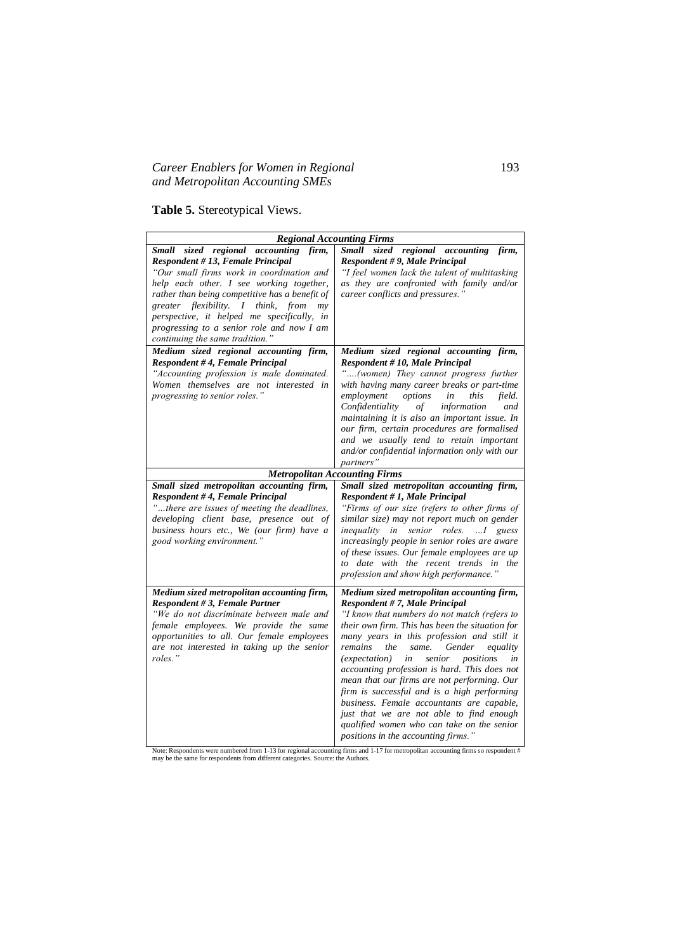# *Career Enablers for Women in Regional* 193 *and Metropolitan Accounting SMEs*

**Table 5.** Stereotypical Views.

| <b>Regional Accounting Firms</b>                                                                                                                                                                                                                                                                                                                                                                  |                                                                                                                                                                                                                                                                                                                                                                                                                                                                                                                                                                                                                                                            |  |  |  |  |
|---------------------------------------------------------------------------------------------------------------------------------------------------------------------------------------------------------------------------------------------------------------------------------------------------------------------------------------------------------------------------------------------------|------------------------------------------------------------------------------------------------------------------------------------------------------------------------------------------------------------------------------------------------------------------------------------------------------------------------------------------------------------------------------------------------------------------------------------------------------------------------------------------------------------------------------------------------------------------------------------------------------------------------------------------------------------|--|--|--|--|
| Small sized regional accounting firm,<br>Respondent #13, Female Principal<br>"Our small firms work in coordination and<br>help each other. I see working together,<br>rather than being competitive has a benefit of<br>greater flexibility. I think,<br>from<br>mv<br>perspective, it helped me specifically, in<br>progressing to a senior role and now I am<br>continuing the same tradition." | Small sized regional accounting<br>firm,<br>Respondent #9, Male Principal<br>"I feel women lack the talent of multitasking<br>as they are confronted with family and/or<br>career conflicts and pressures."                                                                                                                                                                                                                                                                                                                                                                                                                                                |  |  |  |  |
| Medium sized regional accounting firm,<br>Respondent #4, Female Principal<br>"Accounting profession is male dominated.<br>Women themselves are not interested in<br>progressing to senior roles."                                                                                                                                                                                                 | Medium sized regional accounting firm,<br>Respondent #10, Male Principal<br>"(women) They cannot progress further<br>with having many career breaks or part-time<br>employment<br>options<br>this<br>field.<br>in<br>Confidentiality<br>of<br>information<br>and<br>maintaining it is also an important issue. In<br>our firm, certain procedures are formalised<br>and we usually tend to retain important<br>and/or confidential information only with our<br><i>partners</i> "                                                                                                                                                                          |  |  |  |  |
| <b>Metropolitan Accounting Firms</b>                                                                                                                                                                                                                                                                                                                                                              |                                                                                                                                                                                                                                                                                                                                                                                                                                                                                                                                                                                                                                                            |  |  |  |  |
| Small sized metropolitan accounting firm,<br>Respondent #4, Female Principal<br>"there are issues of meeting the deadlines,<br>developing client base, presence out of<br>business hours etc., We (our firm) have a<br>good working environment."                                                                                                                                                 | Small sized metropolitan accounting firm,<br>Respondent #1, Male Principal<br>"Firms of our size (refers to other firms of<br>similar size) may not report much on gender<br><i>inequality</i> in senior roles.  I guess<br>increasingly people in senior roles are aware<br>of these issues. Our female employees are up<br>to date with the recent trends in the<br>profession and show high performance."                                                                                                                                                                                                                                               |  |  |  |  |
| Medium sized metropolitan accounting firm,<br>Respondent #3, Female Partner<br>"We do not discriminate between male and<br>female employees. We provide the same<br>opportunities to all. Our female employees<br>are not interested in taking up the senior<br>roles."                                                                                                                           | Medium sized metropolitan accounting firm,<br>Respondent #7, Male Principal<br>"I know that numbers do not match (refers to<br>their own firm. This has been the situation for<br>many years in this profession and still it<br>remains<br>same.<br>Gender<br>equality<br>the<br>senior<br>positions<br>(expectation) in<br>in<br>accounting profession is hard. This does not<br>mean that our firms are not performing. Our<br>firm is successful and is a high performing<br>business. Female accountants are capable,<br>just that we are not able to find enough<br>qualified women who can take on the senior<br>positions in the accounting firms." |  |  |  |  |

Note: Respondents were numbered from 1-13 for regional accounting firms and 1-17 for metropolitan accounting firms so respondent # may be the same for respondents from different categories. Source: the Authors.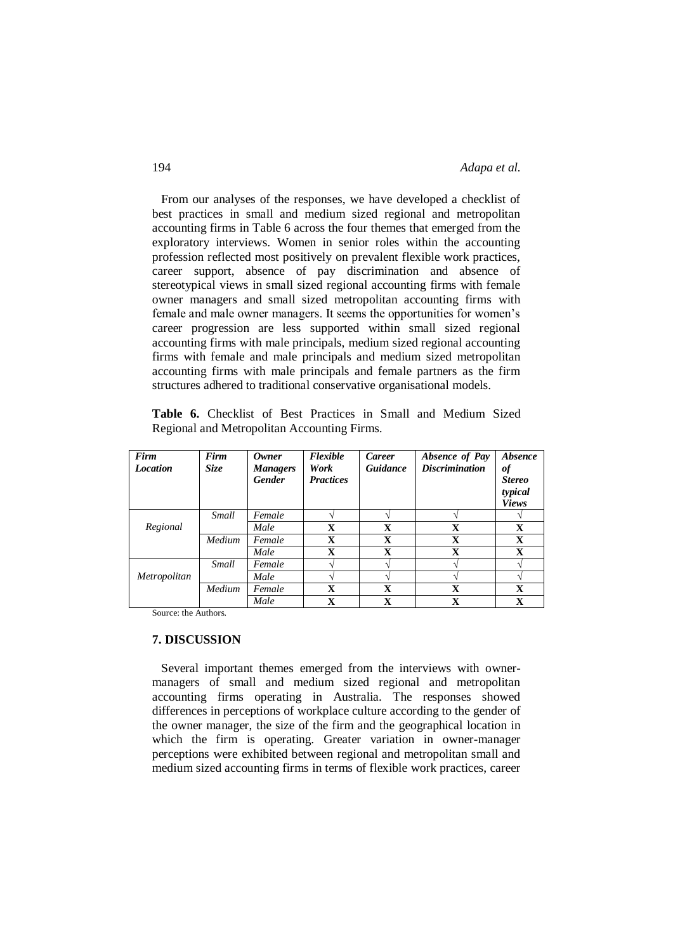From our analyses of the responses, we have developed a checklist of best practices in small and medium sized regional and metropolitan accounting firms in Table 6 across the four themes that emerged from the exploratory interviews. Women in senior roles within the accounting profession reflected most positively on prevalent flexible work practices, career support, absence of pay discrimination and absence of stereotypical views in small sized regional accounting firms with female owner managers and small sized metropolitan accounting firms with female and male owner managers. It seems the opportunities for women's career progression are less supported within small sized regional accounting firms with male principals, medium sized regional accounting firms with female and male principals and medium sized metropolitan accounting firms with male principals and female partners as the firm structures adhered to traditional conservative organisational models.

**Table 6.** Checklist of Best Practices in Small and Medium Sized Regional and Metropolitan Accounting Firms.

| Firm<br><b>Location</b> | Firm<br>Size | Owner<br><b>Managers</b><br><b>Gender</b> | Flexible<br>Work<br><b>Practices</b> | <b>Career</b><br>Guidance | Absence of Pay<br><b>Discrimination</b> | <i><b>Absence</b></i><br>of<br><b>Stereo</b><br>typical<br><b>Views</b> |
|-------------------------|--------------|-------------------------------------------|--------------------------------------|---------------------------|-----------------------------------------|-------------------------------------------------------------------------|
|                         | Small        | Female                                    |                                      |                           |                                         |                                                                         |
| Regional                |              | Male                                      | $\mathbf x$                          | X                         | $\mathbf x$                             | X                                                                       |
|                         | Medium       | Female                                    | X                                    | X                         | $\mathbf x$                             | X                                                                       |
|                         |              | Male                                      | X                                    | x                         | X                                       | X                                                                       |
|                         | Small        | Female                                    |                                      |                           |                                         |                                                                         |
| Metropolitan            |              | Male                                      |                                      |                           |                                         |                                                                         |
|                         | Medium       | Female                                    | X                                    | $\mathbf x$               | $\mathbf x$                             | $\mathbf x$                                                             |
|                         |              | Male                                      | X                                    | X                         | $\mathbf x$                             | X                                                                       |

Source: the Authors.

#### **7. DISCUSSION**

 Several important themes emerged from the interviews with ownermanagers of small and medium sized regional and metropolitan accounting firms operating in Australia. The responses showed differences in perceptions of workplace culture according to the gender of the owner manager, the size of the firm and the geographical location in which the firm is operating. Greater variation in owner-manager perceptions were exhibited between regional and metropolitan small and medium sized accounting firms in terms of flexible work practices, career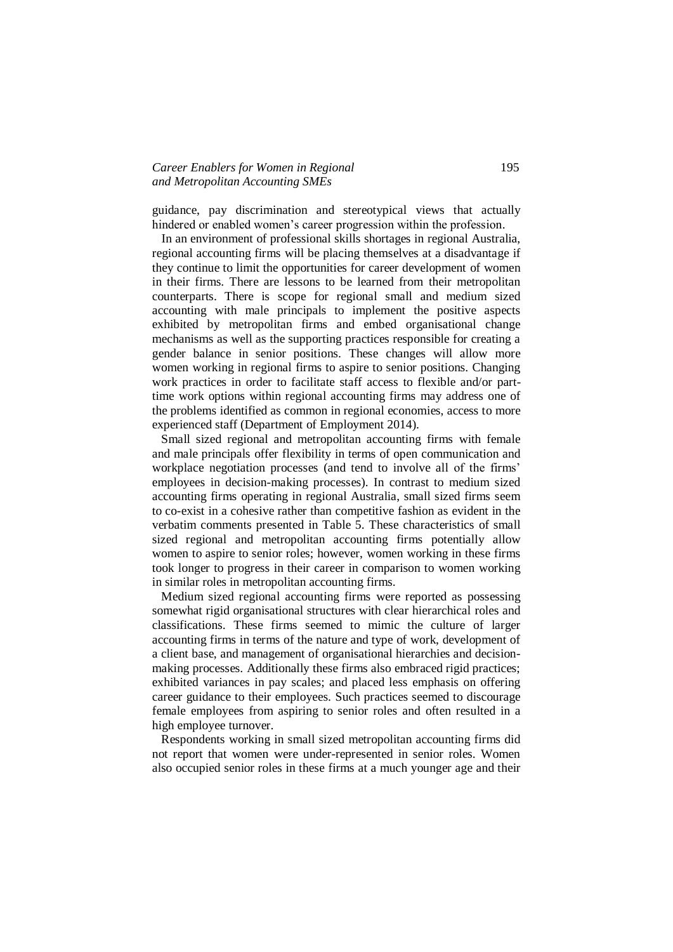# *Career Enablers for Women in Regional* 195 *and Metropolitan Accounting SMEs*

guidance, pay discrimination and stereotypical views that actually hindered or enabled women's career progression within the profession.

 In an environment of professional skills shortages in regional Australia, regional accounting firms will be placing themselves at a disadvantage if they continue to limit the opportunities for career development of women in their firms. There are lessons to be learned from their metropolitan counterparts. There is scope for regional small and medium sized accounting with male principals to implement the positive aspects exhibited by metropolitan firms and embed organisational change mechanisms as well as the supporting practices responsible for creating a gender balance in senior positions. These changes will allow more women working in regional firms to aspire to senior positions. Changing work practices in order to facilitate staff access to flexible and/or parttime work options within regional accounting firms may address one of the problems identified as common in regional economies, access to more experienced staff (Department of Employment 2014).

 Small sized regional and metropolitan accounting firms with female and male principals offer flexibility in terms of open communication and workplace negotiation processes (and tend to involve all of the firms' employees in decision-making processes). In contrast to medium sized accounting firms operating in regional Australia, small sized firms seem to co-exist in a cohesive rather than competitive fashion as evident in the verbatim comments presented in Table 5. These characteristics of small sized regional and metropolitan accounting firms potentially allow women to aspire to senior roles; however, women working in these firms took longer to progress in their career in comparison to women working in similar roles in metropolitan accounting firms.

 Medium sized regional accounting firms were reported as possessing somewhat rigid organisational structures with clear hierarchical roles and classifications. These firms seemed to mimic the culture of larger accounting firms in terms of the nature and type of work, development of a client base, and management of organisational hierarchies and decisionmaking processes. Additionally these firms also embraced rigid practices; exhibited variances in pay scales; and placed less emphasis on offering career guidance to their employees. Such practices seemed to discourage female employees from aspiring to senior roles and often resulted in a high employee turnover.

 Respondents working in small sized metropolitan accounting firms did not report that women were under-represented in senior roles. Women also occupied senior roles in these firms at a much younger age and their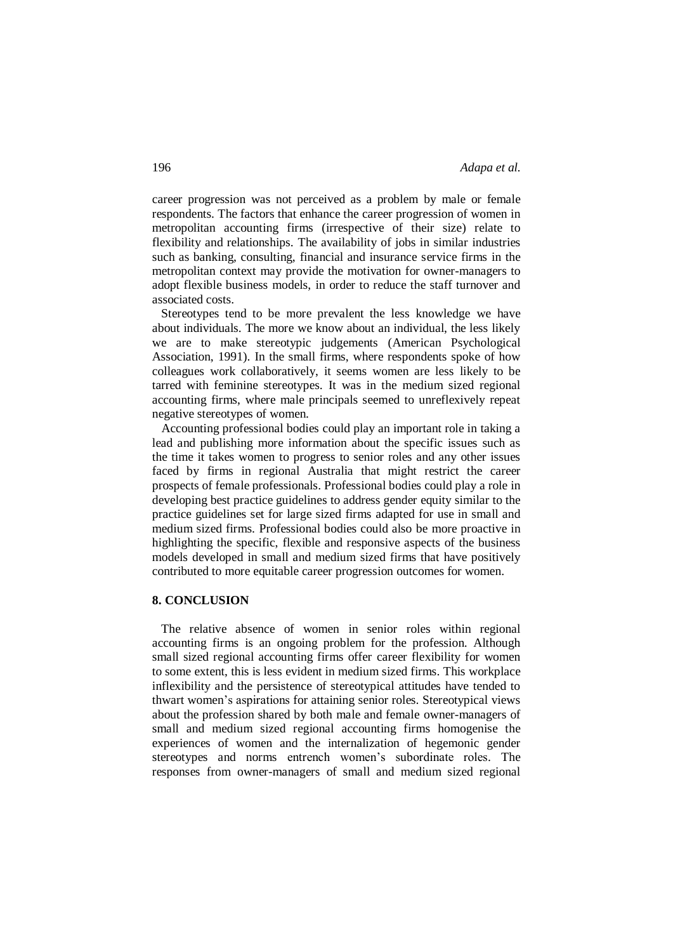career progression was not perceived as a problem by male or female respondents. The factors that enhance the career progression of women in metropolitan accounting firms (irrespective of their size) relate to flexibility and relationships. The availability of jobs in similar industries such as banking, consulting, financial and insurance service firms in the metropolitan context may provide the motivation for owner-managers to adopt flexible business models, in order to reduce the staff turnover and associated costs.

 Stereotypes tend to be more prevalent the less knowledge we have about individuals. The more we know about an individual, the less likely we are to make stereotypic judgements (American Psychological Association, 1991). In the small firms, where respondents spoke of how colleagues work collaboratively, it seems women are less likely to be tarred with feminine stereotypes. It was in the medium sized regional accounting firms, where male principals seemed to unreflexively repeat negative stereotypes of women.

 Accounting professional bodies could play an important role in taking a lead and publishing more information about the specific issues such as the time it takes women to progress to senior roles and any other issues faced by firms in regional Australia that might restrict the career prospects of female professionals. Professional bodies could play a role in developing best practice guidelines to address gender equity similar to the practice guidelines set for large sized firms adapted for use in small and medium sized firms. Professional bodies could also be more proactive in highlighting the specific, flexible and responsive aspects of the business models developed in small and medium sized firms that have positively contributed to more equitable career progression outcomes for women.

# **8. CONCLUSION**

 The relative absence of women in senior roles within regional accounting firms is an ongoing problem for the profession. Although small sized regional accounting firms offer career flexibility for women to some extent, this is less evident in medium sized firms. This workplace inflexibility and the persistence of stereotypical attitudes have tended to thwart women's aspirations for attaining senior roles. Stereotypical views about the profession shared by both male and female owner-managers of small and medium sized regional accounting firms homogenise the experiences of women and the internalization of hegemonic gender stereotypes and norms entrench women's subordinate roles. The responses from owner-managers of small and medium sized regional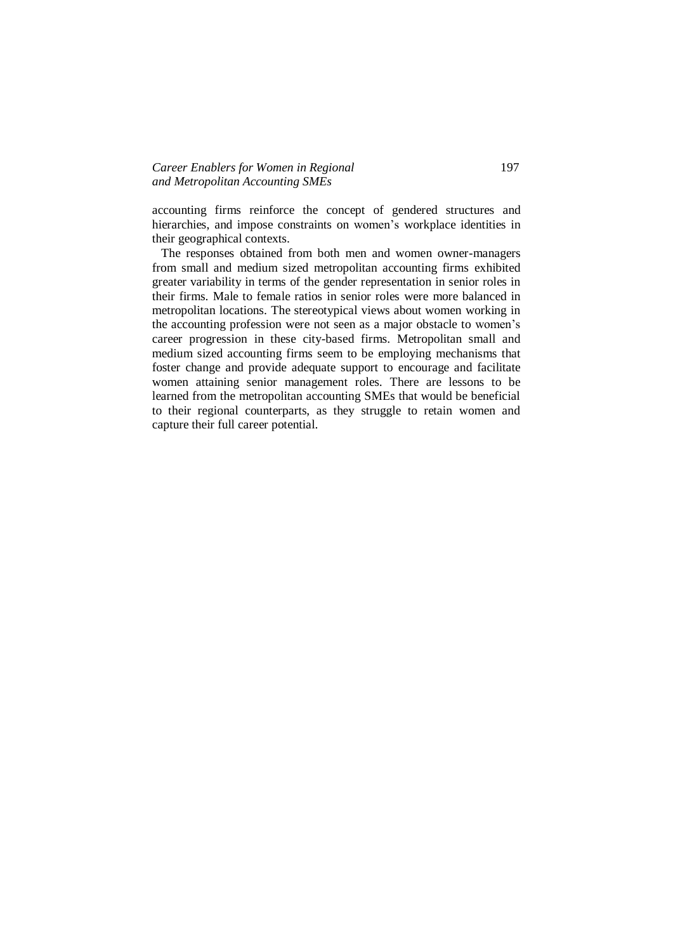# *Career Enablers for Women in Regional* 197 *and Metropolitan Accounting SMEs*

accounting firms reinforce the concept of gendered structures and hierarchies, and impose constraints on women's workplace identities in their geographical contexts.

 The responses obtained from both men and women owner-managers from small and medium sized metropolitan accounting firms exhibited greater variability in terms of the gender representation in senior roles in their firms. Male to female ratios in senior roles were more balanced in metropolitan locations. The stereotypical views about women working in the accounting profession were not seen as a major obstacle to women's career progression in these city-based firms. Metropolitan small and medium sized accounting firms seem to be employing mechanisms that foster change and provide adequate support to encourage and facilitate women attaining senior management roles. There are lessons to be learned from the metropolitan accounting SMEs that would be beneficial to their regional counterparts, as they struggle to retain women and capture their full career potential.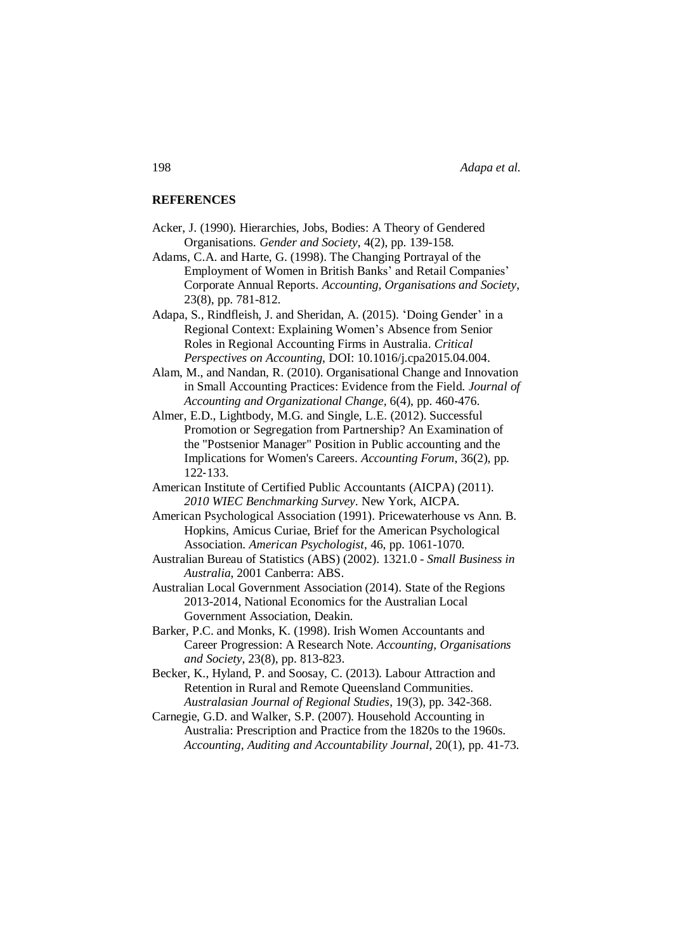#### **REFERENCES**

- Acker, J. (1990). Hierarchies, Jobs, Bodies: A Theory of Gendered Organisations. *Gender and Society*, 4(2), pp. 139-158.
- Adams, C.A. and Harte, G. (1998). The Changing Portrayal of the Employment of Women in British Banks' and Retail Companies' Corporate Annual Reports. *Accounting, Organisations and Society*, 23(8), pp. 781-812.
- Adapa, S., Rindfleish, J. and Sheridan, A. (2015). 'Doing Gender' in a Regional Context: Explaining Women's Absence from Senior Roles in Regional Accounting Firms in Australia. *Critical Perspectives on Accounting*, DOI: 10.1016/j.cpa2015.04.004.
- Alam, M., and Nandan, R. (2010). Organisational Change and Innovation in Small Accounting Practices: Evidence from the Field. *Journal of Accounting and Organizational Change,* 6(4), pp. 460‐476.
- Almer, E.D., Lightbody, M.G. and Single, L.E. (2012). Successful Promotion or Segregation from Partnership? An Examination of the "Postsenior Manager" Position in Public accounting and the Implications for Women's Careers. *Accounting Forum*, 36(2), pp. 122‐133.
- American Institute of Certified Public Accountants (AICPA) (2011). *2010 WIEC Benchmarking Survey*. New York, AICPA.
- American Psychological Association (1991). Pricewaterhouse vs Ann. B. Hopkins, Amicus Curiae, Brief for the American Psychological Association. *American Psychologist*, 46, pp. 1061-1070.
- Australian Bureau of Statistics (ABS) (2002). 1321.0 *Small Business in Australia*, 2001 Canberra: ABS.
- Australian Local Government Association (2014). State of the Regions 2013-2014, National Economics for the Australian Local Government Association, Deakin.
- Barker, P.C. and Monks, K. (1998). Irish Women Accountants and Career Progression: A Research Note. *Accounting, Organisations and Society*, 23(8), pp. 813-823.
- Becker, K., Hyland, P. and Soosay, C. (2013). Labour Attraction and Retention in Rural and Remote Queensland Communities. *Australasian Journal of Regional Studies*, 19(3), pp. 342-368.
- Carnegie, G.D. and Walker, S.P. (2007). Household Accounting in Australia: Prescription and Practice from the 1820s to the 1960s. *Accounting, Auditing and Accountability Journal*, 20(1), pp. 41-73.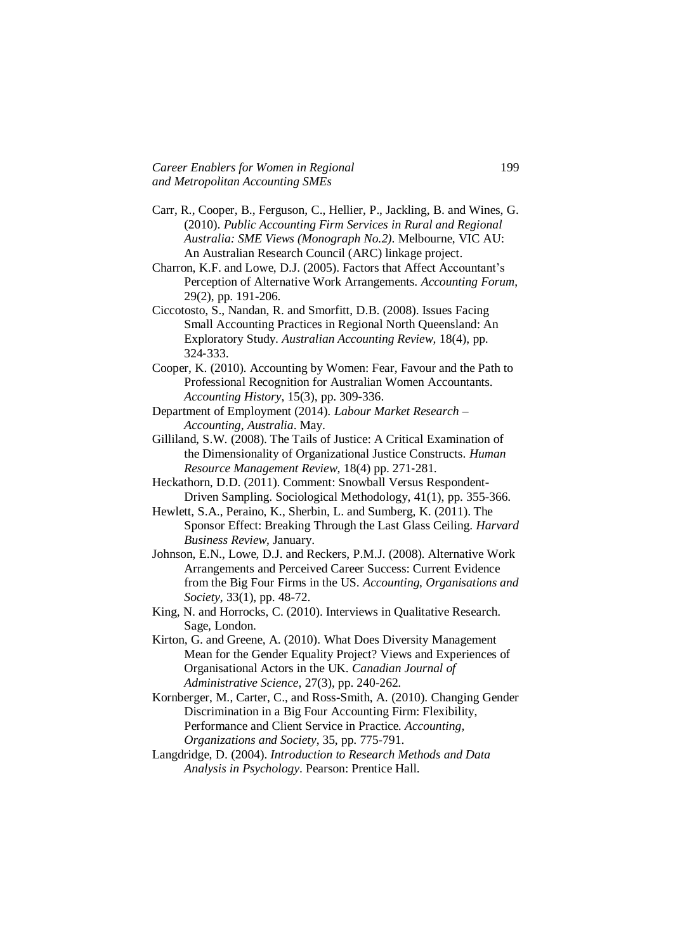- Carr, R., Cooper, B., Ferguson, C., Hellier, P., Jackling, B. and Wines, G. (2010). *Public Accounting Firm Services in Rural and Regional Australia: SME Views (Monograph No.2)*. Melbourne, VIC AU: An Australian Research Council (ARC) linkage project.
- Charron, K.F. and Lowe, D.J. (2005). Factors that Affect Accountant's Perception of Alternative Work Arrangements. *Accounting Forum*, 29(2), pp. 191-206.
- Ciccotosto, S., Nandan, R. and Smorfitt, D.B. (2008). Issues Facing Small Accounting Practices in Regional North Queensland: An Exploratory Study. *Australian Accounting Review,* 18(4), pp. 324‐333.
- Cooper, K. (2010). Accounting by Women: Fear, Favour and the Path to Professional Recognition for Australian Women Accountants. *Accounting History*, 15(3), pp. 309-336.
- Department of Employment (2014). *Labour Market Research – Accounting, Australia*. May.
- Gilliland, S.W. (2008). The Tails of Justice: A Critical Examination of the Dimensionality of Organizational Justice Constructs. *Human Resource Management Review,* 18(4) pp. 271‐281.
- Heckathorn, D.D. (2011). Comment: Snowball Versus Respondent-Driven Sampling. Sociological Methodology, 41(1), pp. 355-366.
- Hewlett, S.A., Peraino, K., Sherbin, L. and Sumberg, K. (2011). The Sponsor Effect: Breaking Through the Last Glass Ceiling. *Harvard Business Review*, January.
- Johnson, E.N., Lowe, D.J. and Reckers, P.M.J. (2008). Alternative Work Arrangements and Perceived Career Success: Current Evidence from the Big Four Firms in the US. *Accounting, Organisations and Society*, 33(1), pp. 48-72.
- King, N. and Horrocks, C. (2010). Interviews in Qualitative Research. Sage, London.
- Kirton, G. and Greene, A. (2010). What Does Diversity Management Mean for the Gender Equality Project? Views and Experiences of Organisational Actors in the UK. *Canadian Journal of Administrative Science*, 27(3), pp. 240-262.
- Kornberger, M., Carter, C., and Ross-Smith, A. (2010). Changing Gender Discrimination in a Big Four Accounting Firm: Flexibility, Performance and Client Service in Practice. *Accounting, Organizations and Society*, 35, pp. 775-791.
- Langdridge, D. (2004). *Introduction to Research Methods and Data Analysis in Psychology*. Pearson: Prentice Hall.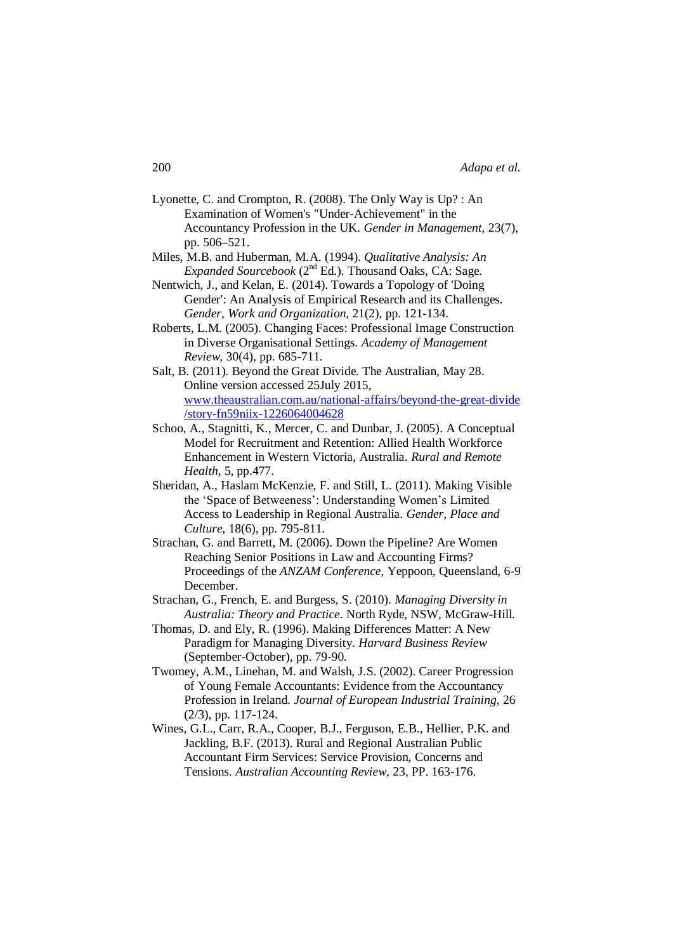- Lyonette, C. and Crompton, R. (2008). The Only Way is Up? : An Examination of Women's "Under-Achievement" in the Accountancy Profession in the UK. *Gender in Management,* 23(7), pp. 506–521.
- Miles, M.B. and Huberman, M.A. (1994). *Qualitative Analysis: An Expanded Sourcebook* (2<sup>nd</sup> Ed.). Thousand Oaks, CA: Sage.
- Nentwich, J., and Kelan, E. (2014). Towards a Topology of 'Doing Gender': An Analysis of Empirical Research and its Challenges. *Gender*, *Work and Organization*, 21(2), pp. 121-134.
- Roberts, L.M. (2005). Changing Faces: Professional Image Construction in Diverse Organisational Settings. *Academy of Management Review*, 30(4), pp. 685-711.
- Salt, B. (2011). Beyond the Great Divide. The Australian, May 28. Online version accessed 25July 2015, [www.theaustralian.com.au/national-affairs/beyond-the-great-divide](http://www.theaustralian.com.au/national%1eaffairs/beyond%1ethe%1egreat%1edivide/story-fn59niix-1226064004628) [/story-fn59niix-1226064004628](http://www.theaustralian.com.au/national%1eaffairs/beyond%1ethe%1egreat%1edivide/story-fn59niix-1226064004628)
- Schoo, A., Stagnitti, K., Mercer, C. and Dunbar, J. (2005). A Conceptual Model for Recruitment and Retention: Allied Health Workforce Enhancement in Western Victoria, Australia. *Rural and Remote Health*, 5, pp.477.
- Sheridan, A., Haslam McKenzie, F. and Still, L. (2011). Making Visible the 'Space of Betweeness': Understanding Women's Limited Access to Leadership in Regional Australia. *Gender, Place and Culture*, 18(6), pp. 795-811.
- Strachan, G. and Barrett, M. (2006). Down the Pipeline? Are Women Reaching Senior Positions in Law and Accounting Firms? Proceedings of the *ANZAM Conference*, Yeppoon, Queensland, 6-9 December.
- Strachan, G., French, E. and Burgess, S. (2010). *Managing Diversity in Australia: Theory and Practice*. North Ryde, NSW, McGraw-Hill.
- Thomas, D. and Ely, R. (1996). Making Differences Matter: A New Paradigm for Managing Diversity. *Harvard Business Review* (September-October), pp. 79-90.
- Twomey, A.M., Linehan, M. and Walsh, J.S. (2002). Career Progression of Young Female Accountants: Evidence from the Accountancy Profession in Ireland. *Journal of European Industrial Training*, 26 (2/3), pp. 117-124.
- Wines, G.L., Carr, R.A., Cooper, B.J., Ferguson, E.B., Hellier, P.K. and Jackling, B.F. (2013). Rural and Regional Australian Public Accountant Firm Services: Service Provision, Concerns and Tensions. *Australian Accounting Review*, 23, PP. 163-176.